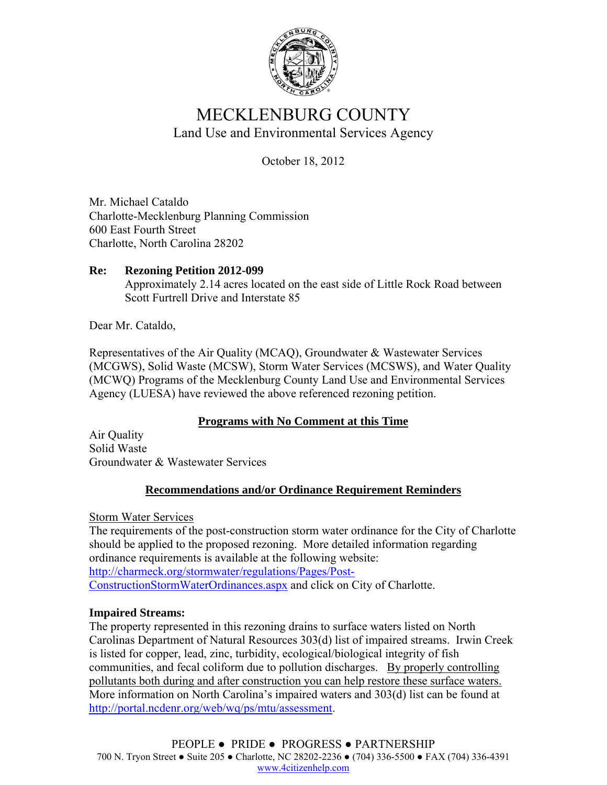

# MECKLENBURG COUNTY Land Use and Environmental Services Agency

October 18, 2012

Mr. Michael Cataldo Charlotte-Mecklenburg Planning Commission 600 East Fourth Street Charlotte, North Carolina 28202

#### **Re: Rezoning Petition 2012-099**  Approximately 2.14 acres located on the east side of Little Rock Road between Scott Furtrell Drive and Interstate 85

Dear Mr. Cataldo,

Representatives of the Air Quality (MCAQ), Groundwater & Wastewater Services (MCGWS), Solid Waste (MCSW), Storm Water Services (MCSWS), and Water Quality (MCWQ) Programs of the Mecklenburg County Land Use and Environmental Services Agency (LUESA) have reviewed the above referenced rezoning petition.

### **Programs with No Comment at this Time**

Air Quality Solid Waste Groundwater & Wastewater Services

## **Recommendations and/or Ordinance Requirement Reminders**

Storm Water Services

The requirements of the post-construction storm water ordinance for the City of Charlotte should be applied to the proposed rezoning. More detailed information regarding ordinance requirements is available at the following website: http://charmeck.org/stormwater/regulations/Pages/Post-ConstructionStormWaterOrdinances.aspx and click on City of Charlotte.

### **Impaired Streams:**

The property represented in this rezoning drains to surface waters listed on North Carolinas Department of Natural Resources 303(d) list of impaired streams. Irwin Creek is listed for copper, lead, zinc, turbidity, ecological/biological integrity of fish communities, and fecal coliform due to pollution discharges. By properly controlling pollutants both during and after construction you can help restore these surface waters. More information on North Carolina's impaired waters and 303(d) list can be found at http://portal.ncdenr.org/web/wq/ps/mtu/assessment.